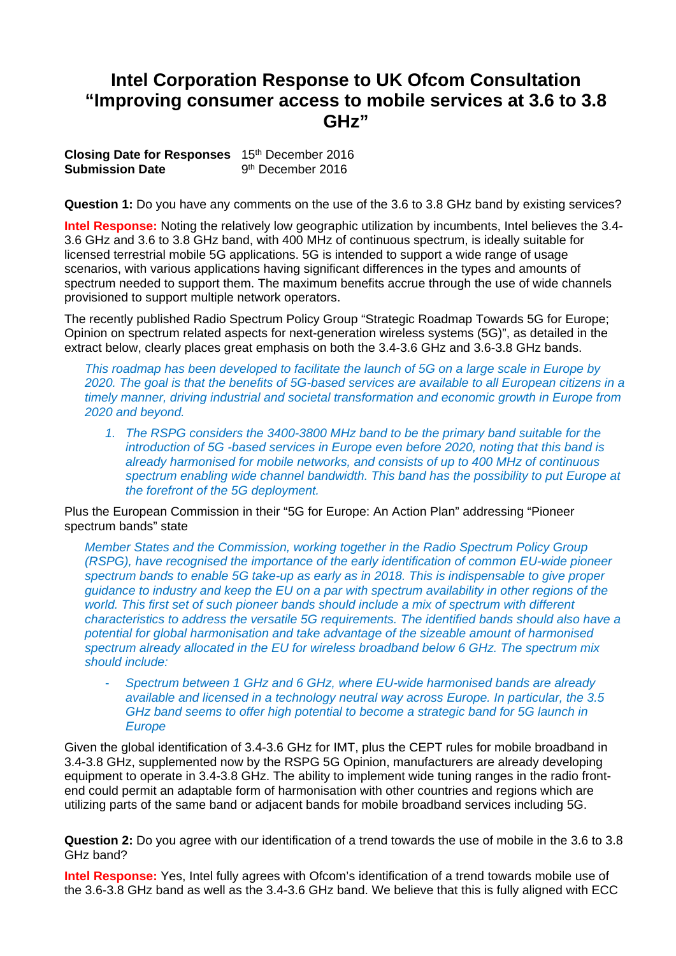## **Intel Corporation Response to UK Ofcom Consultation "Improving consumer access to mobile services at 3.6 to 3.8 GHz"**

**Closing Date for Responses** 15th December 2016 **Submission Date** 9<sup>th</sup> December 2016

**Question 1:** Do you have any comments on the use of the 3.6 to 3.8 GHz band by existing services?

**Intel Response:** Noting the relatively low geographic utilization by incumbents, Intel believes the 3.4- 3.6 GHz and 3.6 to 3.8 GHz band, with 400 MHz of continuous spectrum, is ideally suitable for licensed terrestrial mobile 5G applications. 5G is intended to support a wide range of usage scenarios, with various applications having significant differences in the types and amounts of spectrum needed to support them. The maximum benefits accrue through the use of wide channels provisioned to support multiple network operators.

The recently published Radio Spectrum Policy Group "Strategic Roadmap Towards 5G for Europe; Opinion on spectrum related aspects for next-generation wireless systems (5G)", as detailed in the extract below, clearly places great emphasis on both the 3.4-3.6 GHz and 3.6-3.8 GHz bands.

*This roadmap has been developed to facilitate the launch of 5G on a large scale in Europe by 2020. The goal is that the benefits of 5G-based services are available to all European citizens in a timely manner, driving industrial and societal transformation and economic growth in Europe from 2020 and beyond.* 

*1. The RSPG considers the 3400-3800 MHz band to be the primary band suitable for the introduction of 5G -based services in Europe even before 2020, noting that this band is already harmonised for mobile networks, and consists of up to 400 MHz of continuous spectrum enabling wide channel bandwidth. This band has the possibility to put Europe at the forefront of the 5G deployment.* 

Plus the European Commission in their "5G for Europe: An Action Plan" addressing "Pioneer spectrum bands" state

*Member States and the Commission, working together in the Radio Spectrum Policy Group (RSPG), have recognised the importance of the early identification of common EU-wide pioneer spectrum bands to enable 5G take-up as early as in 2018. This is indispensable to give proper guidance to industry and keep the EU on a par with spectrum availability in other regions of the world. This first set of such pioneer bands should include a mix of spectrum with different characteristics to address the versatile 5G requirements. The identified bands should also have a potential for global harmonisation and take advantage of the sizeable amount of harmonised spectrum already allocated in the EU for wireless broadband below 6 GHz. The spectrum mix should include:* 

- *Spectrum between 1 GHz and 6 GHz, where EU-wide harmonised bands are already available and licensed in a technology neutral way across Europe. In particular, the 3.5 GHz band seems to offer high potential to become a strategic band for 5G launch in Europe* 

Given the global identification of 3.4-3.6 GHz for IMT, plus the CEPT rules for mobile broadband in 3.4-3.8 GHz, supplemented now by the RSPG 5G Opinion, manufacturers are already developing equipment to operate in 3.4-3.8 GHz. The ability to implement wide tuning ranges in the radio frontend could permit an adaptable form of harmonisation with other countries and regions which are utilizing parts of the same band or adjacent bands for mobile broadband services including 5G.

**Question 2:** Do you agree with our identification of a trend towards the use of mobile in the 3.6 to 3.8 GHz band?

**Intel Response:** Yes, Intel fully agrees with Ofcom's identification of a trend towards mobile use of the 3.6-3.8 GHz band as well as the 3.4-3.6 GHz band. We believe that this is fully aligned with ECC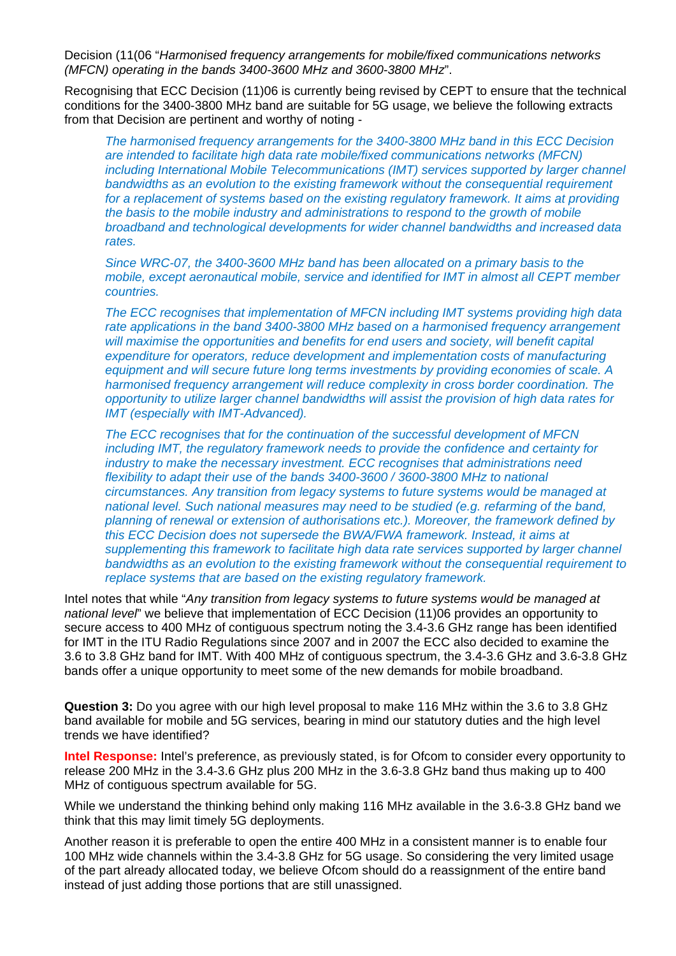Decision (11(06 "*Harmonised frequency arrangements for mobile/fixed communications networks (MFCN) operating in the bands 3400-3600 MHz and 3600-3800 MHz*".

Recognising that ECC Decision (11)06 is currently being revised by CEPT to ensure that the technical conditions for the 3400-3800 MHz band are suitable for 5G usage, we believe the following extracts from that Decision are pertinent and worthy of noting -

*The harmonised frequency arrangements for the 3400-3800 MHz band in this ECC Decision are intended to facilitate high data rate mobile/fixed communications networks (MFCN) including International Mobile Telecommunications (IMT) services supported by larger channel bandwidths as an evolution to the existing framework without the consequential requirement for a replacement of systems based on the existing regulatory framework. It aims at providing the basis to the mobile industry and administrations to respond to the growth of mobile broadband and technological developments for wider channel bandwidths and increased data rates.* 

*Since WRC-07, the 3400-3600 MHz band has been allocated on a primary basis to the mobile, except aeronautical mobile, service and identified for IMT in almost all CEPT member countries.* 

*The ECC recognises that implementation of MFCN including IMT systems providing high data rate applications in the band 3400-3800 MHz based on a harmonised frequency arrangement will maximise the opportunities and benefits for end users and society, will benefit capital expenditure for operators, reduce development and implementation costs of manufacturing equipment and will secure future long terms investments by providing economies of scale. A harmonised frequency arrangement will reduce complexity in cross border coordination. The opportunity to utilize larger channel bandwidths will assist the provision of high data rates for IMT (especially with IMT-Advanced).* 

*The ECC recognises that for the continuation of the successful development of MFCN including IMT, the regulatory framework needs to provide the confidence and certainty for industry to make the necessary investment. ECC recognises that administrations need flexibility to adapt their use of the bands 3400-3600 / 3600-3800 MHz to national circumstances. Any transition from legacy systems to future systems would be managed at national level. Such national measures may need to be studied (e.g. refarming of the band, planning of renewal or extension of authorisations etc.). Moreover, the framework defined by this ECC Decision does not supersede the BWA/FWA framework. Instead, it aims at supplementing this framework to facilitate high data rate services supported by larger channel bandwidths as an evolution to the existing framework without the consequential requirement to replace systems that are based on the existing regulatory framework.* 

Intel notes that while "*Any transition from legacy systems to future systems would be managed at national level*" we believe that implementation of ECC Decision (11)06 provides an opportunity to secure access to 400 MHz of contiguous spectrum noting the 3.4-3.6 GHz range has been identified for IMT in the ITU Radio Regulations since 2007 and in 2007 the ECC also decided to examine the 3.6 to 3.8 GHz band for IMT. With 400 MHz of contiguous spectrum, the 3.4-3.6 GHz and 3.6-3.8 GHz bands offer a unique opportunity to meet some of the new demands for mobile broadband.

**Question 3:** Do you agree with our high level proposal to make 116 MHz within the 3.6 to 3.8 GHz band available for mobile and 5G services, bearing in mind our statutory duties and the high level trends we have identified?

**Intel Response:** Intel's preference, as previously stated, is for Ofcom to consider every opportunity to release 200 MHz in the 3.4-3.6 GHz plus 200 MHz in the 3.6-3.8 GHz band thus making up to 400 MHz of contiguous spectrum available for 5G.

While we understand the thinking behind only making 116 MHz available in the 3.6-3.8 GHz band we think that this may limit timely 5G deployments.

Another reason it is preferable to open the entire 400 MHz in a consistent manner is to enable four 100 MHz wide channels within the 3.4-3.8 GHz for 5G usage. So considering the very limited usage of the part already allocated today, we believe Ofcom should do a reassignment of the entire band instead of just adding those portions that are still unassigned.